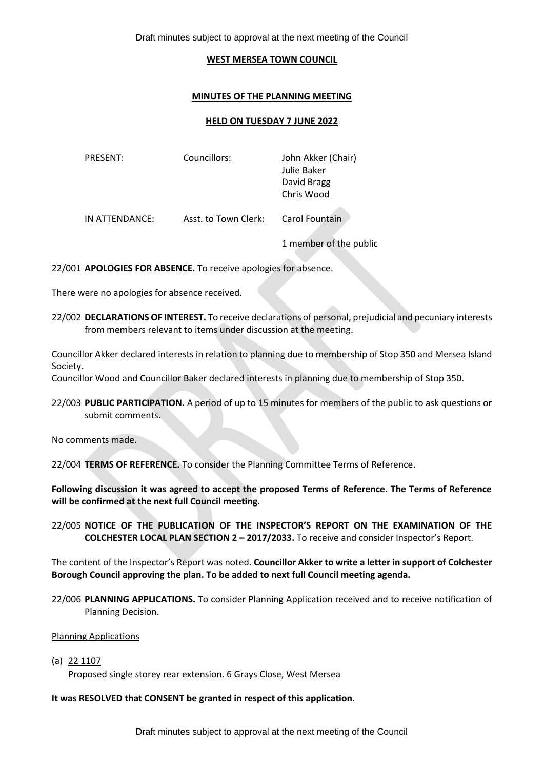Draft minutes subject to approval at the next meeting of the Council

#### **WEST MERSEA TOWN COUNCIL**

## **MINUTES OF THE PLANNING MEETING**

### **HELD ON TUESDAY 7 JUNE 2022**

| PRESENT:       | Councillors:         | John Akker (Chair)<br>Julie Baker<br>David Bragg<br>Chris Wood |
|----------------|----------------------|----------------------------------------------------------------|
| IN ATTENDANCE: | Asst. to Town Clerk: | Carol Fountain                                                 |

1 member of the public

22/001 **APOLOGIES FOR ABSENCE.** To receive apologies for absence.

There were no apologies for absence received.

22/002 **DECLARATIONS OF INTEREST.** To receive declarations of personal, prejudicial and pecuniary interests from members relevant to items under discussion at the meeting.

Councillor Akker declared interests in relation to planning due to membership of Stop 350 and Mersea Island Society.

Councillor Wood and Councillor Baker declared interests in planning due to membership of Stop 350.

22/003 **PUBLIC PARTICIPATION.** A period of up to 15 minutes for members of the public to ask questions or submit comments.

No comments made.

22/004 **TERMS OF REFERENCE.** To consider the Planning Committee Terms of Reference.

**Following discussion it was agreed to accept the proposed Terms of Reference. The Terms of Reference will be confirmed at the next full Council meeting.** 

22/005 **NOTICE OF THE PUBLICATION OF THE INSPECTOR'S REPORT ON THE EXAMINATION OF THE COLCHESTER LOCAL PLAN SECTION 2 – 2017/2033.** To receive and consider Inspector's Report.

The content of the Inspector's Report was noted. **Councillor Akker to write a letter in support of Colchester Borough Council approving the plan. To be added to next full Council meeting agenda.** 

22/006 **PLANNING APPLICATIONS.** To consider Planning Application received and to receive notification of Planning Decision.

Planning Applications

(a) 22 1107

Proposed single storey rear extension. 6 Grays Close, West Mersea

## **It was RESOLVED that CONSENT be granted in respect of this application.**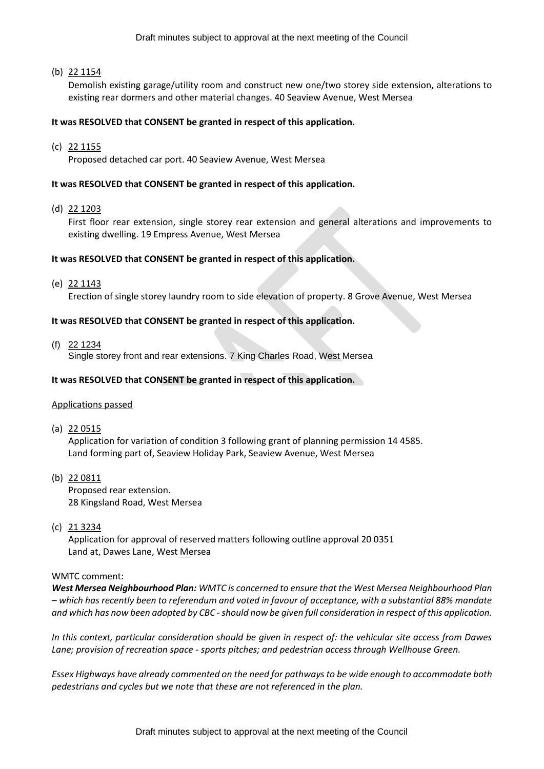### (b) 22 1154

Demolish existing garage/utility room and construct new one/two storey side extension, alterations to existing rear dormers and other material changes. 40 Seaview Avenue, West Mersea

### **It was RESOLVED that CONSENT be granted in respect of this application.**

(c) 22 1155

Proposed detached car port. 40 Seaview Avenue, West Mersea

### **It was RESOLVED that CONSENT be granted in respect of this application.**

(d) 22 1203

First floor rear extension, single storey rear extension and general alterations and improvements to existing dwelling. 19 Empress Avenue, West Mersea

## **It was RESOLVED that CONSENT be granted in respect of this application.**

(e) 22 1143

Erection of single storey laundry room to side elevation of property. 8 Grove Avenue, West Mersea

## **It was RESOLVED that CONSENT be granted in respect of this application.**

(f) 22 1234

Single storey front and rear extensions. 7 King Charles Road, West Mersea

## **It was RESOLVED that CONSENT be granted in respect of this application.**

### Applications passed

(a) 22 0515

Application for variation of condition 3 following grant of planning permission 14 4585. Land forming part of, Seaview Holiday Park, Seaview Avenue, West Mersea

(b) 22 0811

Proposed rear extension. 28 Kingsland Road, West Mersea

(c) 21 3234

Application for approval of reserved matters following outline approval 20 0351 Land at, Dawes Lane, West Mersea

### WMTC comment:

*West Mersea Neighbourhood Plan: WMTC is concerned to ensure that the West Mersea Neighbourhood Plan – which has recently been to referendum and voted in favour of acceptance, with a substantial 88% mandate and which has now been adopted by CBC -should now be given full consideration in respect of this application.*

*In this context, particular consideration should be given in respect of: the vehicular site access from Dawes Lane; provision of recreation space - sports pitches; and pedestrian access through Wellhouse Green.* 

*Essex Highways have already commented on the need for pathways to be wide enough to accommodate both pedestrians and cycles but we note that these are not referenced in the plan.*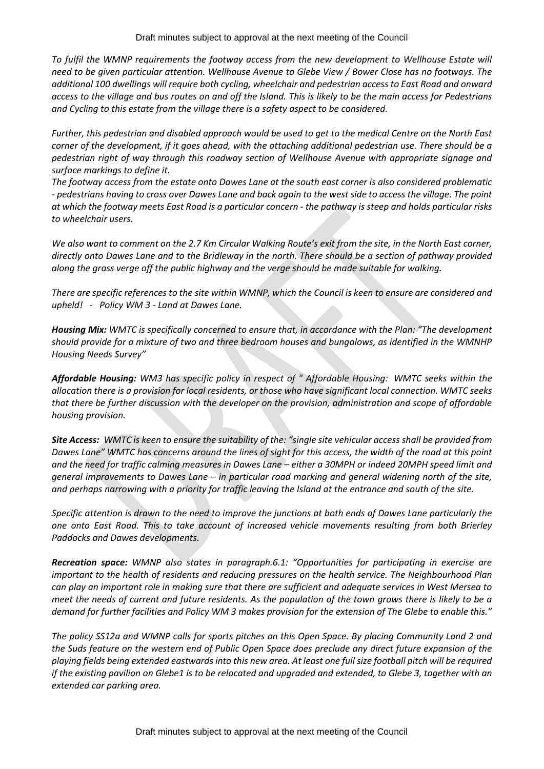Draft minutes subject to approval at the next meeting of the Council

*To fulfil the WMNP requirements the footway access from the new development to Wellhouse Estate will need to be given particular attention. Wellhouse Avenue to Glebe View / Bower Close has no footways. The additional 100 dwellings will require both cycling, wheelchair and pedestrian access to East Road and onward access to the village and bus routes on and off the Island. This is likely to be the main access for Pedestrians and Cycling to this estate from the village there is a safety aspect to be considered.* 

*Further, this pedestrian and disabled approach would be used to get to the medical Centre on the North East corner of the development, if it goes ahead, with the attaching additional pedestrian use. There should be a pedestrian right of way through this roadway section of Wellhouse Avenue with appropriate signage and surface markings to define it.*

*The footway access from the estate onto Dawes Lane at the south east corner is also considered problematic - pedestrians having to cross over Dawes Lane and back again to the west side to access the village. The point at which the footway meets East Road is a particular concern - the pathway is steep and holds particular risks to wheelchair users.*

*We also want to comment on the 2.7 Km Circular Walking Route's exit from the site, in the North East corner, directly onto Dawes Lane and to the Bridleway in the north. There should be a section of pathway provided along the grass verge off the public highway and the verge should be made suitable for walking.*

*There are specific references to the site within WMNP, which the Council is keen to ensure are considered and upheld! - Policy WM 3 - Land at Dawes Lane.*

*Housing Mix: WMTC is specifically concerned to ensure that, in accordance with the Plan: "The development should provide for a mixture of two and three bedroom houses and bungalows, as identified in the WMNHP Housing Needs Survey"* 

*Affordable Housing: WM3 has specific policy in respect of " Affordable Housing: WMTC seeks within the allocation there is a provision for local residents, or those who have significant local connection. WMTC seeks that there be further discussion with the developer on the provision, administration and scope of affordable housing provision.* 

*Site Access: WMTC is keen to ensure the suitability of the: "single site vehicular access shall be provided from Dawes Lane" WMTC has concerns around the lines of sight for this access, the width of the road at this point and the need for traffic calming measures in Dawes Lane – either a 30MPH or indeed 20MPH speed limit and general improvements to Dawes Lane – in particular road marking and general widening north of the site, and perhaps narrowing with a priority for traffic leaving the Island at the entrance and south of the site.*

*Specific attention is drawn to the need to improve the junctions at both ends of Dawes Lane particularly the one onto East Road. This to take account of increased vehicle movements resulting from both Brierley Paddocks and Dawes developments.*

*Recreation space: WMNP also states in paragraph.6.1: "Opportunities for participating in exercise are important to the health of residents and reducing pressures on the health service. The Neighbourhood Plan can play an important role in making sure that there are sufficient and adequate services in West Mersea to meet the needs of current and future residents. As the population of the town grows there is likely to be a demand for further facilities and Policy WM 3 makes provision for the extension of The Glebe to enable this."*

*The policy SS12a and WMNP calls for sports pitches on this Open Space. By placing Community Land 2 and the Suds feature on the western end of Public Open Space does preclude any direct future expansion of the playing fields being extended eastwards into this new area. At least one full size football pitch will be required if the existing pavilion on Glebe1 is to be relocated and upgraded and extended, to Glebe 3, together with an extended car parking area.*